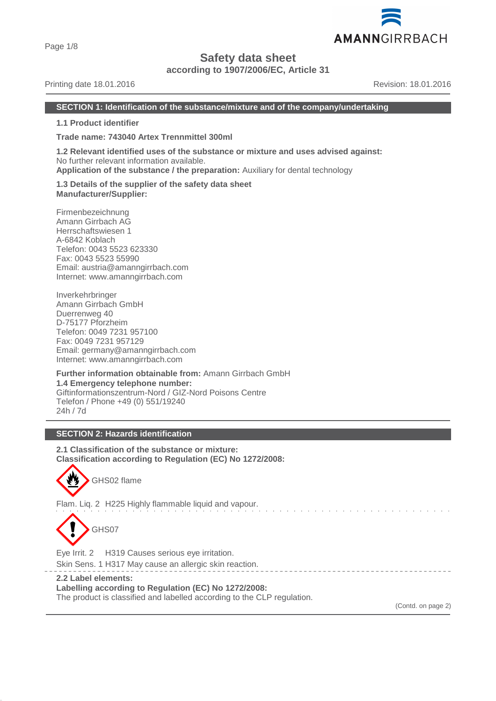Page 1/8

# **Safety data sheet**

**according to 1907/2006/EC, Article 31**

# Printing date 18.01.2016 **Revision: 18.01.2016** Revision: 18.01.2016

#### **SECTION 1: Identification of the substance/mixture and of the company/undertaking**

**1.1 Product identifier**

**Trade name: 743040 Artex Trennmittel 300ml**

**1.2 Relevant identified uses of the substance or mixture and uses advised against:** No further relevant information available. **Application of the substance / the preparation:** Auxiliary for dental technology

**1.3 Details of the supplier of the safety data sheet Manufacturer/Supplier:**

Firmenbezeichnung Amann Girrbach AG Herrschaftswiesen 1 A-6842 Koblach Telefon: 0043 5523 623330 Fax: 0043 5523 55990 Email: austria@amanngirrbach.com Internet: www.amanngirrbach.com

Inverkehrbringer Amann Girrbach GmbH Duerrenweg 40 D-75177 Pforzheim Telefon: 0049 7231 957100 Fax: 0049 7231 957129 Email: germany@amanngirrbach.com Internet: www.amanngirrbach.com

**Further information obtainable from:** Amann Girrbach GmbH **1.4 Emergency telephone number:** Giftinformationszentrum-Nord / GIZ-Nord Poisons Centre Telefon / Phone +49 (0) 551/19240 24h / 7d

# **SECTION 2: Hazards identification**

**2.1 Classification of the substance or mixture: Classification according to Regulation (EC) No 1272/2008:**



Flam. Liq. 2 H225 Highly flammable liquid and vapour.



Eye Irrit. 2 H319 Causes serious eye irritation.

Skin Sens. 1 H317 May cause an allergic skin reaction.

## **2.2 Label elements:**

**Labelling according to Regulation (EC) No 1272/2008:**

The product is classified and labelled according to the CLP regulation.

(Contd. on page 2)

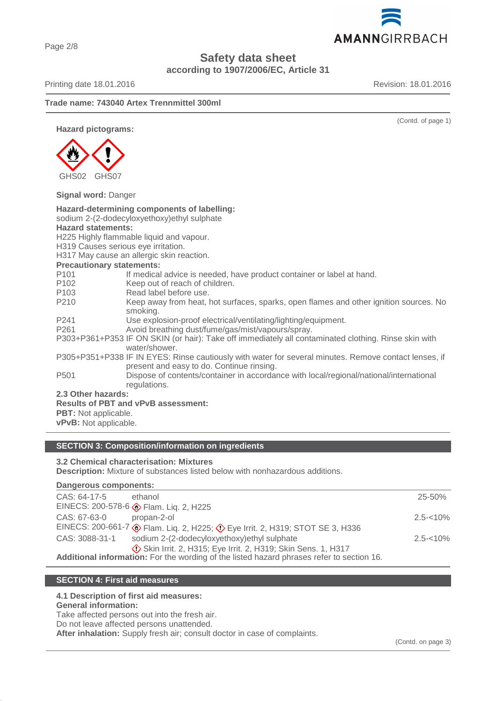# **Safety data sheet**

**according to 1907/2006/EC, Article 31**

Printing date 18.01.2016 **Revision: 18.01.2016** Revision: 18.01.2016

AMANNGIRRBACH

(Contd. of page 1)

# **Trade name: 743040 Artex Trennmittel 300ml**

**Hazard pictograms:**



**Signal word:** Danger

| Hazard-determining components of labelling:                                                           |                                                                                        |  |  |
|-------------------------------------------------------------------------------------------------------|----------------------------------------------------------------------------------------|--|--|
| sodium 2-(2-dodecyloxyethoxy)ethyl sulphate                                                           |                                                                                        |  |  |
| <b>Hazard statements:</b>                                                                             |                                                                                        |  |  |
| H225 Highly flammable liquid and vapour.                                                              |                                                                                        |  |  |
| H319 Causes serious eye irritation.                                                                   |                                                                                        |  |  |
| H317 May cause an allergic skin reaction.                                                             |                                                                                        |  |  |
| <b>Precautionary statements:</b>                                                                      |                                                                                        |  |  |
| P <sub>101</sub>                                                                                      | If medical advice is needed, have product container or label at hand.                  |  |  |
| P <sub>102</sub>                                                                                      | Keep out of reach of children.                                                         |  |  |
| P <sub>103</sub>                                                                                      | Read label before use.                                                                 |  |  |
| P210                                                                                                  | Keep away from heat, hot surfaces, sparks, open flames and other ignition sources. No  |  |  |
|                                                                                                       | smoking.                                                                               |  |  |
| P <sub>241</sub>                                                                                      | Use explosion-proof electrical/ventilating/lighting/equipment.                         |  |  |
| P261                                                                                                  | Avoid breathing dust/fume/gas/mist/vapours/spray.                                      |  |  |
| P303+P361+P353 IF ON SKIN (or hair): Take off immediately all contaminated clothing. Rinse skin with  |                                                                                        |  |  |
|                                                                                                       | water/shower.                                                                          |  |  |
| P305+P351+P338 IF IN EYES: Rinse cautiously with water for several minutes. Remove contact lenses, if |                                                                                        |  |  |
|                                                                                                       | present and easy to do. Continue rinsing.                                              |  |  |
| P <sub>501</sub>                                                                                      | Dispose of contents/container in accordance with local/regional/national/international |  |  |
|                                                                                                       | regulations.                                                                           |  |  |
| 2.3 Other hazards:                                                                                    |                                                                                        |  |  |
| <b>Results of PBT and vPvB assessment:</b>                                                            |                                                                                        |  |  |
| <b>PBT:</b> Not applicable.                                                                           |                                                                                        |  |  |
| vPvB: Not applicable.                                                                                 |                                                                                        |  |  |
|                                                                                                       |                                                                                        |  |  |

# **SECTION 3: Composition/information on ingredients**

#### **3.2 Chemical characterisation: Mixtures**

**Description:** Mixture of substances listed below with nonhazardous additions.

#### **Dangerous components:**

| CAS: 64-17-5                                                                              | ethanol                                                                   | $25 - 50%$   |  |
|-------------------------------------------------------------------------------------------|---------------------------------------------------------------------------|--------------|--|
|                                                                                           | EINECS: 200-578-6 $\circledast$ Flam. Liq. 2, H225                        |              |  |
| CAS: 67-63-0                                                                              | propan-2-ol                                                               | $2.5 - 10\%$ |  |
|                                                                                           | EINECS: 200-661-7 > Flam. Liq. 2, H225; <>> Flam 2, H219; STOT SE 3, H336 |              |  |
| CAS: 3088-31-1                                                                            | sodium 2-(2-dodecyloxyethoxy)ethyl sulphate                               | $2.5 - 10\%$ |  |
|                                                                                           | Skin Irrit. 2, H315; Eye Irrit. 2, H319; Skin Sens. 1, H317               |              |  |
| Additional information: For the wording of the listed hazard phrases refer to section 16. |                                                                           |              |  |

# **SECTION 4: First aid measures**

# **4.1 Description of first aid measures:**

# **General information:**

Take affected persons out into the fresh air.

Do not leave affected persons unattended.

**After inhalation:** Supply fresh air; consult doctor in case of complaints.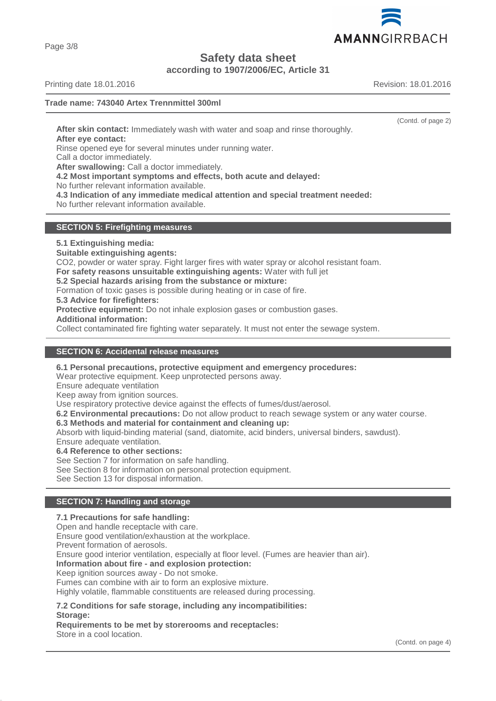AMANNGIRRBACH

**Safety data sheet**

**according to 1907/2006/EC, Article 31**

Printing date 18.01.2016 **Revision: 18.01.2016** Revision: 18.01.2016

# **Trade name: 743040 Artex Trennmittel 300ml**

(Contd. of page 2)

**After skin contact:** Immediately wash with water and soap and rinse thoroughly. **After eye contact:**

Rinse opened eye for several minutes under running water.

Call a doctor immediately.

**After swallowing:** Call a doctor immediately.

**4.2 Most important symptoms and effects, both acute and delayed:**

No further relevant information available.

**4.3 Indication of any immediate medical attention and special treatment needed:**

No further relevant information available.

# **SECTION 5: Firefighting measures**

**5.1 Extinguishing media:**

**Suitable extinguishing agents:**

CO2, powder or water spray. Fight larger fires with water spray or alcohol resistant foam.

**For safety reasons unsuitable extinguishing agents:** Water with full jet

**5.2 Special hazards arising from the substance or mixture:**

Formation of toxic gases is possible during heating or in case of fire.

**5.3 Advice for firefighters:**

**Protective equipment:** Do not inhale explosion gases or combustion gases.

**Additional information:**

Collect contaminated fire fighting water separately. It must not enter the sewage system.

## **SECTION 6: Accidental release measures**

**6.1 Personal precautions, protective equipment and emergency procedures:**

Wear protective equipment. Keep unprotected persons away.

Ensure adequate ventilation

Keep away from ignition sources.

Use respiratory protective device against the effects of fumes/dust/aerosol.

**6.2 Environmental precautions:** Do not allow product to reach sewage system or any water course.

**6.3 Methods and material for containment and cleaning up:**

Absorb with liquid-binding material (sand, diatomite, acid binders, universal binders, sawdust).

Ensure adequate ventilation.

**6.4 Reference to other sections:**

See Section 7 for information on safe handling.

See Section 8 for information on personal protection equipment.

See Section 13 for disposal information.

### **SECTION 7: Handling and storage**

## **7.1 Precautions for safe handling:**

Open and handle receptacle with care.

Ensure good ventilation/exhaustion at the workplace.

Prevent formation of aerosols.

Ensure good interior ventilation, especially at floor level. (Fumes are heavier than air).

#### **Information about fire - and explosion protection:**

Keep ignition sources away - Do not smoke.

Fumes can combine with air to form an explosive mixture.

Highly volatile, flammable constituents are released during processing.

#### **7.2 Conditions for safe storage, including any incompatibilities: Storage:**

**Requirements to be met by storerooms and receptacles:** Store in a cool location.

Page 3/8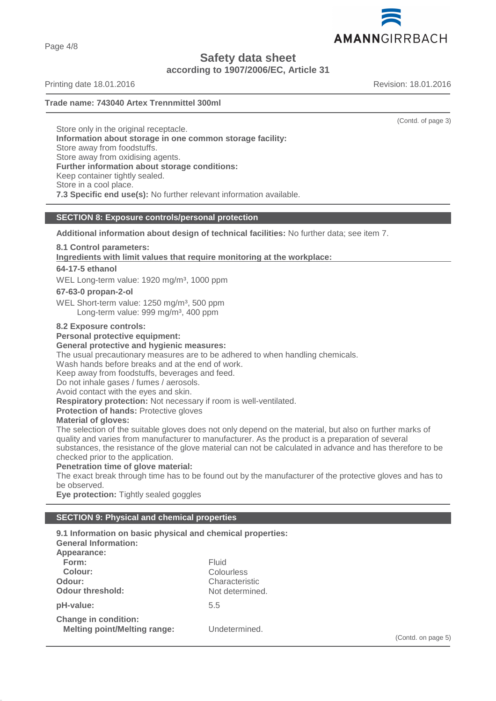AMANNGIRRBACH

**Safety data sheet**

**according to 1907/2006/EC, Article 31**

Printing date 18.01.2016 **Revision: 18.01.2016** Revision: 18.01.2016

## **Trade name: 743040 Artex Trennmittel 300ml**

Store only in the original receptacle. **Information about storage in one common storage facility:** Store away from foodstuffs. Store away from oxidising agents. **Further information about storage conditions:** Keep container tightly sealed. Store in a cool place. **7.3 Specific end use(s):** No further relevant information available.

# **SECTION 8: Exposure controls/personal protection**

**Additional information about design of technical facilities:** No further data; see item 7.

#### **8.1 Control parameters:**

**Ingredients with limit values that require monitoring at the workplace:** 

### **64-17-5 ethanol**

WEL Long-term value: 1920 mg/m<sup>3</sup>, 1000 ppm

#### **67-63-0 propan-2-ol**

WEL Short-term value: 1250 mg/m<sup>3</sup>, 500 ppm Long-term value: 999 mg/m<sup>3</sup>, 400 ppm

#### **8.2 Exposure controls:**

#### **Personal protective equipment:**

#### **General protective and hygienic measures:**

The usual precautionary measures are to be adhered to when handling chemicals.

Wash hands before breaks and at the end of work.

Keep away from foodstuffs, beverages and feed.

Do not inhale gases / fumes / aerosols.

Avoid contact with the eyes and skin.

**Respiratory protection:** Not necessary if room is well-ventilated.

**Protection of hands:** Protective gloves

#### **Material of gloves:**

The selection of the suitable gloves does not only depend on the material, but also on further marks of quality and varies from manufacturer to manufacturer. As the product is a preparation of several substances, the resistance of the glove material can not be calculated in advance and has therefore to be checked prior to the application.

# **Penetration time of glove material:**

The exact break through time has to be found out by the manufacturer of the protective gloves and has to be observed.

**Eye protection:** Tightly sealed goggles

#### **SECTION 9: Physical and chemical properties**

**9.1 Information on basic physical and chemical properties: General Information: Appearance: Form:** Fluid **Colour:** Colourless **Odour:** Characteristic **Odour threshold:** Not determined. **pH-value:** 5.5 **Change in condition: Melting point/Melting range:** Undetermined. (Contd. on page 5)

(Contd. of page 3)

Page 4/8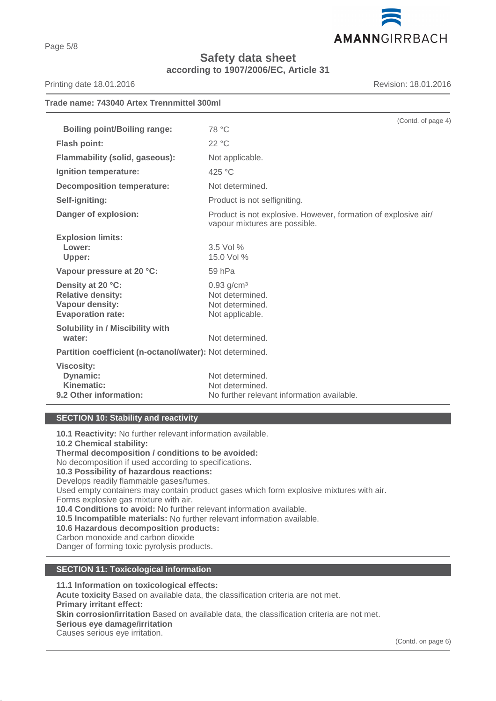

**Safety data sheet according to 1907/2006/EC, Article 31**

Printing date 18.01.2016 **Revision: 18.01.2016** Revision: 18.01.2016

# **Trade name: 743040 Artex Trennmittel 300ml** (Contd. of page 4) **Boiling point/Boiling range:** 78 °C **Flash point:** 22 °C **Flammability (solid, gaseous):** Not applicable. **Ignition temperature:** 425 °C **Decomposition temperature:** Not determined. **Self-igniting:** Product is not selfigniting. **Danger of explosion:** Product is not explosive. However, formation of explosive air/ vapour mixtures are possible. **Explosion limits: Lower:** 3.5 Vol % **Upper:** 15.0 Vol % **Vapour pressure at 20 °C:** 59 hPa **Density at 20 °C:** 0.93 g/cm<sup>3</sup> **Relative density:** Not determined. Vapour density:<br>
Evaporation rate:<br>
Not applicable. **Evaporation rate:**

**Solubility in / Miscibility with** water: We water: Not determined. **Partition coefficient (n-octanol/water):** Not determined. **Viscosity: Dynamic:** Not determined.

# **Kinematic:** Not determined. **9.2 Other information:** No further relevant information available.

# **SECTION 10: Stability and reactivity**

**10.1 Reactivity:** No further relevant information available. **10.2 Chemical stability: Thermal decomposition / conditions to be avoided:** No decomposition if used according to specifications. **10.3 Possibility of hazardous reactions:** Develops readily flammable gases/fumes. Used empty containers may contain product gases which form explosive mixtures with air. Forms explosive gas mixture with air. **10.4 Conditions to avoid:** No further relevant information available. **10.5 Incompatible materials:** No further relevant information available. **10.6 Hazardous decomposition products:** Carbon monoxide and carbon dioxide Danger of forming toxic pyrolysis products.

# **SECTION 11: Toxicological information**

**11.1 Information on toxicological effects: Acute toxicity** Based on available data, the classification criteria are not met. **Primary irritant effect: Skin corrosion/irritation** Based on available data, the classification criteria are not met. **Serious eye damage/irritation** Causes serious eye irritation.

Page 5/8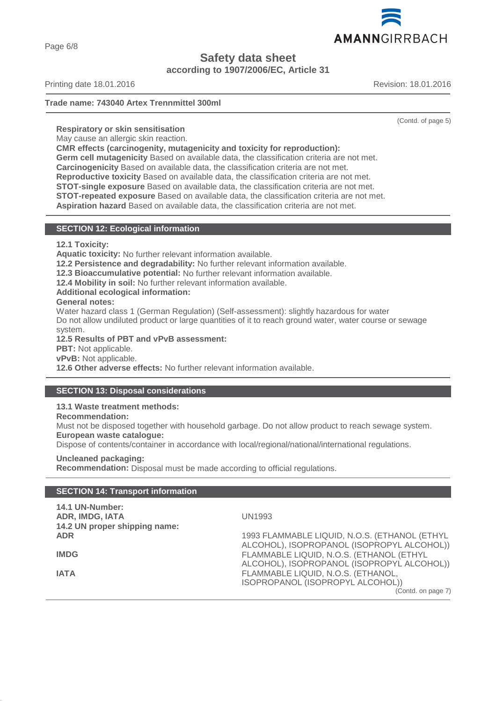

**Safety data sheet**

**according to 1907/2006/EC, Article 31**

Printing date 18.01.2016 **Revision: 18.01.2016** Revision: 18.01.2016

# **Trade name: 743040 Artex Trennmittel 300ml**

(Contd. of page 5)

**Respiratory or skin sensitisation**

May cause an allergic skin reaction.

**CMR effects (carcinogenity, mutagenicity and toxicity for reproduction):**

**Germ cell mutagenicity** Based on available data, the classification criteria are not met.

**Carcinogenicity** Based on available data, the classification criteria are not met.

**Reproductive toxicity** Based on available data, the classification criteria are not met.

**STOT-single exposure** Based on available data, the classification criteria are not met.

**STOT-repeated exposure** Based on available data, the classification criteria are not met.

**Aspiration hazard** Based on available data, the classification criteria are not met.

## **SECTION 12: Ecological information**

**12.1 Toxicity:**

**Aquatic toxicity:** No further relevant information available.

**12.2 Persistence and degradability:** No further relevant information available.

**12.3 Bioaccumulative potential:** No further relevant information available.

**12.4 Mobility in soil:** No further relevant information available.

**Additional ecological information:**

**General notes:**

Water hazard class 1 (German Regulation) (Self-assessment): slightly hazardous for water Do not allow undiluted product or large quantities of it to reach ground water, water course or sewage system.

**12.5 Results of PBT and vPvB assessment:**

**PBT:** Not applicable.

**vPvB:** Not applicable.

**12.6 Other adverse effects:** No further relevant information available.

# **SECTION 13: Disposal considerations**

**13.1 Waste treatment methods:**

**Recommendation:**

**14.1 UN-Number:**

Must not be disposed together with household garbage. Do not allow product to reach sewage system. **European waste catalogue:**

Dispose of contents/container in accordance with local/regional/national/international regulations.

**Uncleaned packaging: Recommendation:** Disposal must be made according to official regulations.

# **SECTION 14: Transport information**

| 14.1 UN-Number:<br><b>ADR, IMDG, IATA</b><br>14.2 UN proper shipping name: | <b>UN1993</b>                                 |
|----------------------------------------------------------------------------|-----------------------------------------------|
| <b>ADR</b>                                                                 | 1993 FLAMMABLE LIQUID, N.O.S. (ETHANOL (ETHYL |
|                                                                            | ALCOHOL), ISOPROPANOL (ISOPROPYL ALCOHOL))    |
| <b>IMDG</b>                                                                | FLAMMABLE LIQUID, N.O.S. (ETHANOL (ETHYL      |
|                                                                            | ALCOHOL), ISOPROPANOL (ISOPROPYL ALCOHOL))    |
| <b>IATA</b>                                                                | FLAMMABLE LIQUID, N.O.S. (ETHANOL,            |
|                                                                            | ISOPROPANOL (ISOPROPYL ALCOHOL))              |
|                                                                            | (Contd. on page 7)                            |

Page 6/8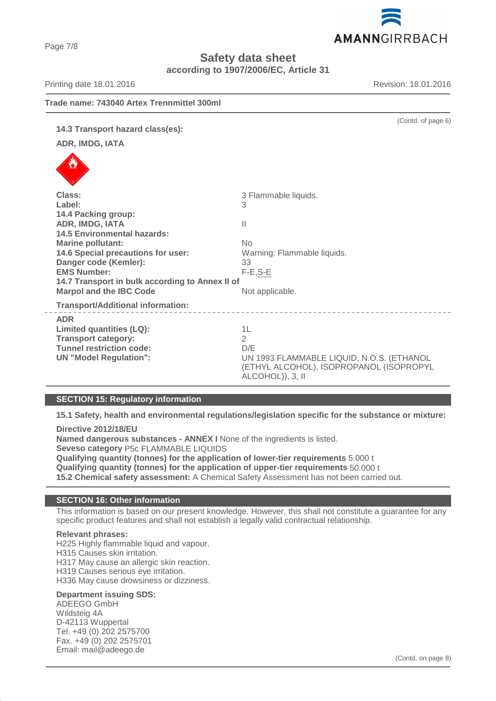AMANNGIRRBACH

**Safety data sheet**

**according to 1907/2006/EC, Article 31**

**Trade name: 743040 Artex Trennmittel 300ml** (Contd. of page 6) **14.3 Transport hazard class(es): ADR, IMDG, IATA** Class: **3 Flammable liquids. Label:** 3 **14.4 Packing group: ADR, IMDG, IATA** II **14.5 Environmental hazards: Marine pollutant:** No **14.6 Special precautions for user:** Warning: Flammable liquids. **Danger code (Kemler):** 33 **EMS Number:** F-E,S-E **14.7 Transport in bulk according to Annex II of Marpol and the IBC Code** Not applicable. **Transport/Additional information:** \_\_\_\_\_\_\_\_\_\_\_\_\_\_\_\_\_\_\_\_\_\_\_\_\_\_\_\_\_\_\_ **ADR Limited quantities (LQ):** 1L **Transport category:** 2 **Tunnel restriction code:** D/E **UN "Model Regulation":** UN 1993 FLAMMABLE LIQUID, N.O.S. (ETHANOL (ETHYL ALCOHOL), ISOPROPANOL (ISOPROPYL ALCOHOL)), 3, II

#### **SECTION 15: Regulatory information**

**15.1 Safety, health and environmental regulations/legislation specific for the substance or mixture:**

**Directive 2012/18/EU**

**Named dangerous substances - ANNEX I** None of the ingredients is listed. **Seveso category** P5c FLAMMABLE LIQUIDS **Qualifying quantity (tonnes) for the application of lower-tier requirements** 5.000 t **Qualifying quantity (tonnes) for the application of upper-tier requirements** 50.000 t **15.2 Chemical safety assessment:** A Chemical Safety Assessment has not been carried out.

#### **SECTION 16: Other information**

This information is based on our present knowledge. However, this shall not constitute a guarantee for any specific product features and shall not establish a legally valid contractual relationship.

# **Relevant phrases:**

H225 Highly flammable liquid and vapour. H315 Causes skin irritation. H317 May cause an allergic skin reaction. H319 Causes serious eye irritation. H336 May cause drowsiness or dizziness.

#### **Department issuing SDS:**

ADEEGO GmbH Wildsteig 4A D-42113 Wuppertal Tel. +49 (0) 202 2575700 Fax. +49 (0) 202 2575701 Email: mail@adeego.de

Printing date 18.01.2016 **Revision: 18.01.2016** Revision: 18.01.2016